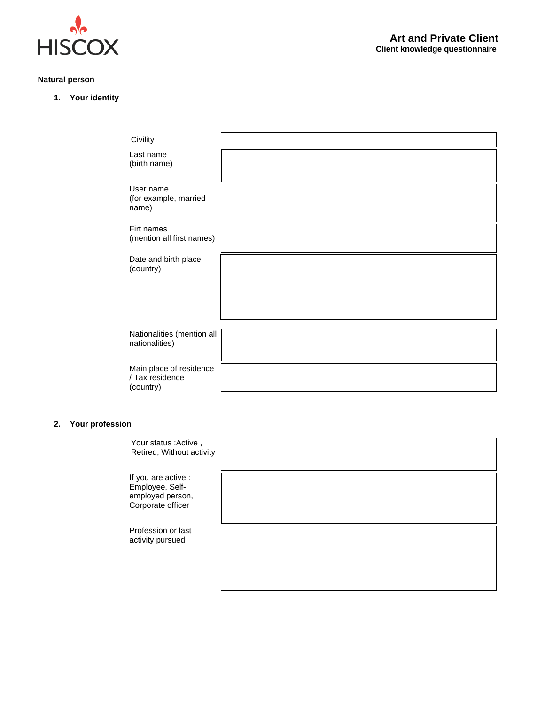

# **Natural person**

**1. Your identity**

| Civility                                                |  |
|---------------------------------------------------------|--|
| Last name<br>(birth name)                               |  |
| User name<br>(for example, married<br>name)             |  |
| Firt names<br>(mention all first names)                 |  |
| Date and birth place<br>(country)                       |  |
| Nationalities (mention all<br>nationalities)            |  |
| Main place of residence<br>/ Tax residence<br>(country) |  |

## **2. Your profession**

| Your status : Active,<br>Retired, Without activity                              |  |
|---------------------------------------------------------------------------------|--|
| If you are active :<br>Employee, Self-<br>employed person,<br>Corporate officer |  |
| Profession or last<br>activity pursued                                          |  |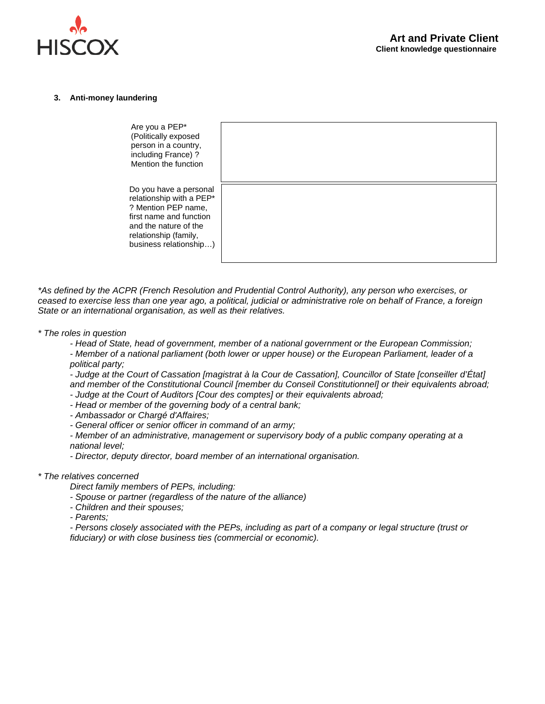

#### **3. Anti-money laundering**

| Are you a PEP*<br>(Politically exposed<br>person in a country,<br>including France) ?<br>Mention the function                                                                    |  |
|----------------------------------------------------------------------------------------------------------------------------------------------------------------------------------|--|
| Do you have a personal<br>relationship with a PEP*<br>? Mention PEP name,<br>first name and function<br>and the nature of the<br>relationship (family,<br>business relationship) |  |

*\*As defined by the ACPR (French Resolution and Prudential Control Authority), any person who exercises, or ceased to exercise less than one year ago, a political, judicial or administrative role on behalf of France, a foreign State or an international organisation, as well as their relatives.*

- *\* The roles in question* 
	- *- Head of State, head of government, member of a national government or the European Commission; - Member of a national parliament (both lower or upper house) or the European Parliament, leader of a*

*political party;*

*- Judge at the Court of Cassation [magistrat à la Cour de Cassation], Councillor of State [conseiller d'État] and member of the Constitutional Council [member du Conseil Constitutionnel] or their equivalents abroad;*

- *- Judge at the Court of Auditors [Cour des comptes] or their equivalents abroad;*
- *- Head or member of the governing body of a central bank;*
- *- Ambassador or Chargé d'Affaires;*
- *- General officer or senior officer in command of an army;*

*- Member of an administrative, management or supervisory body of a public company operating at a national level;* 

*- Director, deputy director, board member of an international organisation.*

### *\* The relatives concerned*

*Direct family members of PEPs, including:*

- *- Spouse or partner (regardless of the nature of the alliance)*
- *- Children and their spouses;*
- *- Parents;*

*- Persons closely associated with the PEPs, including as part of a company or legal structure (trust or fiduciary) or with close business ties (commercial or economic).*